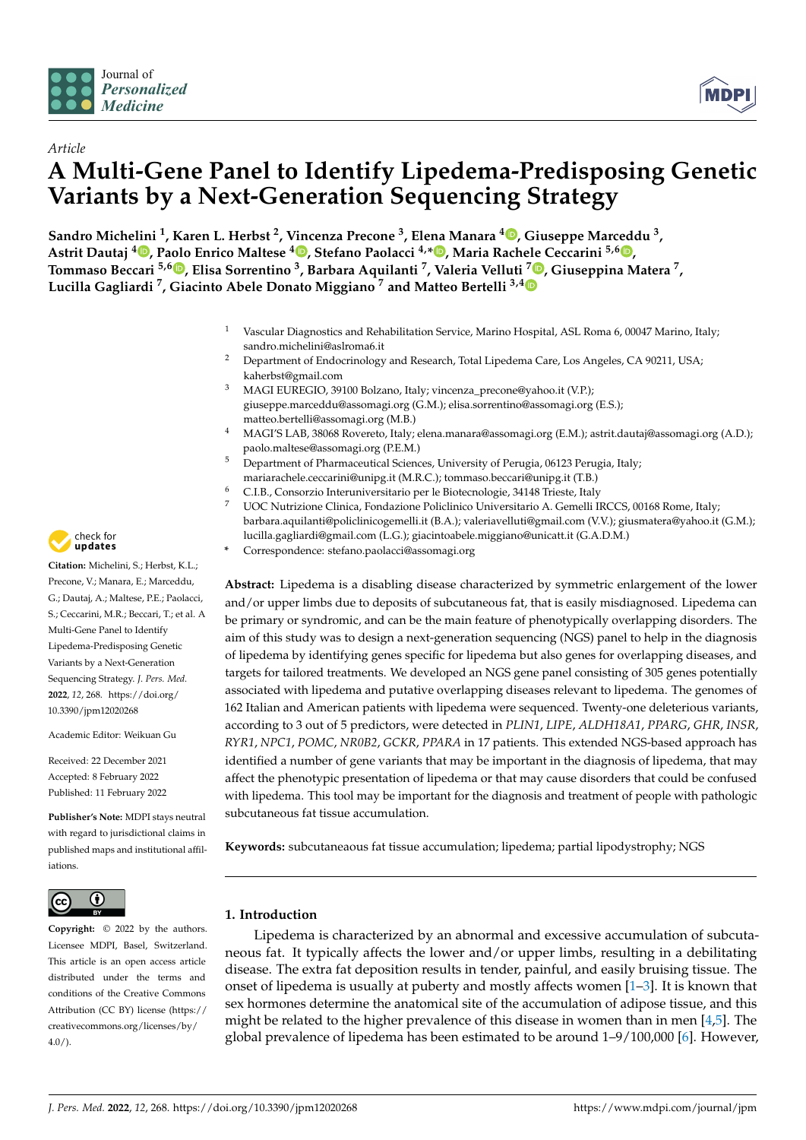



# *Article* **A Multi-Gene Panel to Identify Lipedema-Predisposing Genetic Variants by a Next-Generation Sequencing Strategy**

**Sandro Michelini <sup>1</sup> , Karen L. Herbst <sup>2</sup> , Vincenza Precone <sup>3</sup> , Elena Manara <sup>4</sup> [,](https://orcid.org/0000-0002-1176-3359) Giuseppe Marceddu <sup>3</sup> , Astrit Dautaj <sup>4</sup> [,](https://orcid.org/0000-0002-6385-3444) Paolo Enrico Maltese <sup>4</sup> [,](https://orcid.org/0000-0002-1974-4937) Stefano Paolacci 4,[\\*](https://orcid.org/0000-0002-5551-7520) , Maria Rachele Ceccarini 5,[6](https://orcid.org/0000-0002-5344-4890) , Tommaso Beccari 5,6 [,](https://orcid.org/0000-0001-9637-6579) Elisa Sorrentino <sup>3</sup> , Barbara Aquilanti <sup>7</sup> , Valeria Velluti <sup>7</sup> [,](https://orcid.org/0000-0002-7684-5785) Giuseppina Matera <sup>7</sup> , Lucilla Gagliardi <sup>7</sup> , Giacinto Abele Donato Miggiano <sup>7</sup> and Matteo Bertelli 3,[4](https://orcid.org/0000-0002-9552-221X)**

- <sup>1</sup> Vascular Diagnostics and Rehabilitation Service, Marino Hospital, ASL Roma 6, 00047 Marino, Italy; sandro.michelini@aslroma6.it
- <sup>2</sup> Department of Endocrinology and Research, Total Lipedema Care, Los Angeles, CA 90211, USA; kaherbst@gmail.com
- <sup>3</sup> MAGI EUREGIO, 39100 Bolzano, Italy; vincenza\_precone@yahoo.it (V.P.); giuseppe.marceddu@assomagi.org (G.M.); elisa.sorrentino@assomagi.org (E.S.); matteo.bertelli@assomagi.org (M.B.)
- <sup>4</sup> MAGI'S LAB, 38068 Rovereto, Italy; elena.manara@assomagi.org (E.M.); astrit.dautaj@assomagi.org (A.D.); paolo.maltese@assomagi.org (P.E.M.)
- <sup>5</sup> Department of Pharmaceutical Sciences, University of Perugia, 06123 Perugia, Italy; mariarachele.ceccarini@unipg.it (M.R.C.); tommaso.beccari@unipg.it (T.B.)
- <sup>6</sup> C.I.B., Consorzio Interuniversitario per le Biotecnologie, 34148 Trieste, Italy
- <sup>7</sup> UOC Nutrizione Clinica, Fondazione Policlinico Universitario A. Gemelli IRCCS, 00168 Rome, Italy; barbara.aquilanti@policlinicogemelli.it (B.A.); valeriavelluti@gmail.com (V.V.); giusmatera@yahoo.it (G.M.); lucilla.gagliardi@gmail.com (L.G.); giacintoabele.miggiano@unicatt.it (G.A.D.M.)
	- **\*** Correspondence: stefano.paolacci@assomagi.org

**Abstract:** Lipedema is a disabling disease characterized by symmetric enlargement of the lower and/or upper limbs due to deposits of subcutaneous fat, that is easily misdiagnosed. Lipedema can be primary or syndromic, and can be the main feature of phenotypically overlapping disorders. The aim of this study was to design a next-generation sequencing (NGS) panel to help in the diagnosis of lipedema by identifying genes specific for lipedema but also genes for overlapping diseases, and targets for tailored treatments. We developed an NGS gene panel consisting of 305 genes potentially associated with lipedema and putative overlapping diseases relevant to lipedema. The genomes of 162 Italian and American patients with lipedema were sequenced. Twenty-one deleterious variants, according to 3 out of 5 predictors, were detected in *PLIN1*, *LIPE*, *ALDH18A1*, *PPARG*, *GHR*, *INSR*, *RYR1*, *NPC1*, *POMC*, *NR0B2*, *GCKR*, *PPARA* in 17 patients. This extended NGS-based approach has identified a number of gene variants that may be important in the diagnosis of lipedema, that may affect the phenotypic presentation of lipedema or that may cause disorders that could be confused with lipedema. This tool may be important for the diagnosis and treatment of people with pathologic subcutaneous fat tissue accumulation.

**Keywords:** subcutaneaous fat tissue accumulation; lipedema; partial lipodystrophy; NGS

# **1. Introduction**

Lipedema is characterized by an abnormal and excessive accumulation of subcutaneous fat. It typically affects the lower and/or upper limbs, resulting in a debilitating disease. The extra fat deposition results in tender, painful, and easily bruising tissue. The onset of lipedema is usually at puberty and mostly affects women  $[1-3]$  $[1-3]$ . It is known that sex hormones determine the anatomical site of the accumulation of adipose tissue, and this might be related to the higher prevalence of this disease in women than in men  $[4,5]$  $[4,5]$ . The global prevalence of lipedema has been estimated to be around  $1-9/100,000$  [\[6\]](#page-7-4). However,



**Citation:** Michelini, S.; Herbst, K.L.; Precone, V.; Manara, E.; Marceddu, G.; Dautaj, A.; Maltese, P.E.; Paolacci, S.; Ceccarini, M.R.; Beccari, T.; et al. A Multi-Gene Panel to Identify Lipedema-Predisposing Genetic Variants by a Next-Generation Sequencing Strategy. *J. Pers. Med.* **2022**, *12*, 268. [https://doi.org/](https://doi.org/10.3390/jpm12020268) [10.3390/jpm12020268](https://doi.org/10.3390/jpm12020268)

Academic Editor: Weikuan Gu

Received: 22 December 2021 Accepted: 8 February 2022 Published: 11 February 2022

**Publisher's Note:** MDPI stays neutral with regard to jurisdictional claims in published maps and institutional affiliations.



**Copyright:** © 2022 by the authors. Licensee MDPI, Basel, Switzerland. This article is an open access article distributed under the terms and conditions of the Creative Commons Attribution (CC BY) license [\(https://](https://creativecommons.org/licenses/by/4.0/) [creativecommons.org/licenses/by/](https://creativecommons.org/licenses/by/4.0/)  $4.0/$ ).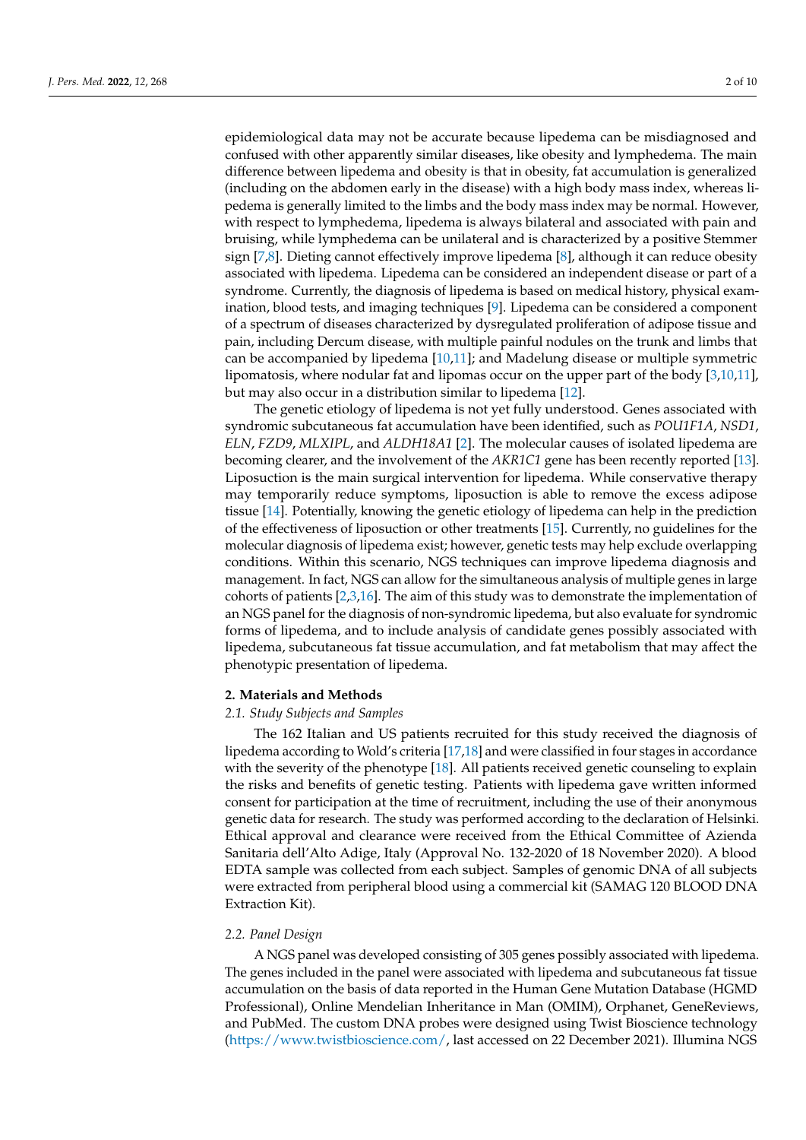epidemiological data may not be accurate because lipedema can be misdiagnosed and confused with other apparently similar diseases, like obesity and lymphedema. The main difference between lipedema and obesity is that in obesity, fat accumulation is generalized (including on the abdomen early in the disease) with a high body mass index, whereas lipedema is generally limited to the limbs and the body mass index may be normal. However, with respect to lymphedema, lipedema is always bilateral and associated with pain and bruising, while lymphedema can be unilateral and is characterized by a positive Stemmer sign [\[7,](#page-7-5)[8\]](#page-7-6). Dieting cannot effectively improve lipedema [\[8\]](#page-7-6), although it can reduce obesity associated with lipedema. Lipedema can be considered an independent disease or part of a syndrome. Currently, the diagnosis of lipedema is based on medical history, physical examination, blood tests, and imaging techniques [\[9\]](#page-7-7). Lipedema can be considered a component of a spectrum of diseases characterized by dysregulated proliferation of adipose tissue and pain, including Dercum disease, with multiple painful nodules on the trunk and limbs that can be accompanied by lipedema [\[10,](#page-7-8)[11\]](#page-7-9); and Madelung disease or multiple symmetric lipomatosis, where nodular fat and lipomas occur on the upper part of the body [\[3](#page-7-1)[,10,](#page-7-8)[11\]](#page-7-9), but may also occur in a distribution similar to lipedema [\[12\]](#page-7-10).

The genetic etiology of lipedema is not yet fully understood. Genes associated with syndromic subcutaneous fat accumulation have been identified, such as *POU1F1A*, *NSD1*, *ELN*, *FZD9*, *MLXIPL*, and *ALDH18A1* [\[2\]](#page-7-11). The molecular causes of isolated lipedema are becoming clearer, and the involvement of the *AKR1C1* gene has been recently reported [\[13\]](#page-7-12). Liposuction is the main surgical intervention for lipedema. While conservative therapy may temporarily reduce symptoms, liposuction is able to remove the excess adipose tissue [\[14\]](#page-7-13). Potentially, knowing the genetic etiology of lipedema can help in the prediction of the effectiveness of liposuction or other treatments [\[15\]](#page-7-14). Currently, no guidelines for the molecular diagnosis of lipedema exist; however, genetic tests may help exclude overlapping conditions. Within this scenario, NGS techniques can improve lipedema diagnosis and management. In fact, NGS can allow for the simultaneous analysis of multiple genes in large cohorts of patients [\[2,](#page-7-11)[3,](#page-7-1)[16\]](#page-7-15). The aim of this study was to demonstrate the implementation of an NGS panel for the diagnosis of non-syndromic lipedema, but also evaluate for syndromic forms of lipedema, and to include analysis of candidate genes possibly associated with lipedema, subcutaneous fat tissue accumulation, and fat metabolism that may affect the phenotypic presentation of lipedema.

#### **2. Materials and Methods**

#### *2.1. Study Subjects and Samples*

The 162 Italian and US patients recruited for this study received the diagnosis of lipedema according to Wold's criteria [\[17](#page-7-16)[,18\]](#page-7-17) and were classified in four stages in accordance with the severity of the phenotype [\[18\]](#page-7-17). All patients received genetic counseling to explain the risks and benefits of genetic testing. Patients with lipedema gave written informed consent for participation at the time of recruitment, including the use of their anonymous genetic data for research. The study was performed according to the declaration of Helsinki. Ethical approval and clearance were received from the Ethical Committee of Azienda Sanitaria dell'Alto Adige, Italy (Approval No. 132-2020 of 18 November 2020). A blood EDTA sample was collected from each subject. Samples of genomic DNA of all subjects were extracted from peripheral blood using a commercial kit (SAMAG 120 BLOOD DNA Extraction Kit).

#### *2.2. Panel Design*

A NGS panel was developed consisting of 305 genes possibly associated with lipedema. The genes included in the panel were associated with lipedema and subcutaneous fat tissue accumulation on the basis of data reported in the Human Gene Mutation Database (HGMD Professional), Online Mendelian Inheritance in Man (OMIM), Orphanet, GeneReviews, and PubMed. The custom DNA probes were designed using Twist Bioscience technology [\(https://www.twistbioscience.com/,](https://www.twistbioscience.com/) last accessed on 22 December 2021). Illumina NGS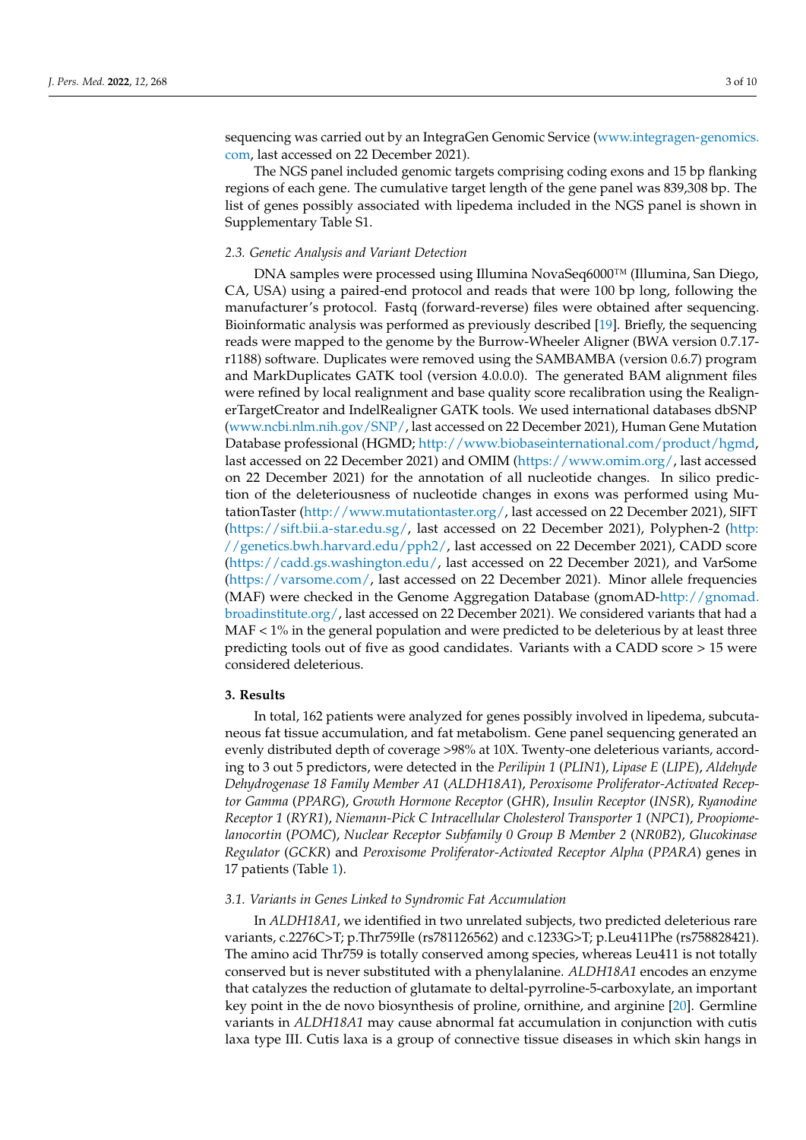sequencing was carried out by an IntegraGen Genomic Service [\(www.integragen-genomics.](www.integragen-genomics.com) [com,](www.integragen-genomics.com) last accessed on 22 December 2021).

The NGS panel included genomic targets comprising coding exons and 15 bp flanking regions of each gene. The cumulative target length of the gene panel was 839,308 bp. The list of genes possibly associated with lipedema included in the NGS panel is shown in Supplementary Table S1.

#### *2.3. Genetic Analysis and Variant Detection*

DNA samples were processed using Illumina NovaSeq6000™ (Illumina, San Diego, CA, USA) using a paired-end protocol and reads that were 100 bp long, following the manufacturer's protocol. Fastq (forward-reverse) files were obtained after sequencing. Bioinformatic analysis was performed as previously described [\[19\]](#page-7-18). Briefly, the sequencing reads were mapped to the genome by the Burrow-Wheeler Aligner (BWA version 0.7.17 r1188) software. Duplicates were removed using the SAMBAMBA (version 0.6.7) program and MarkDuplicates GATK tool (version 4.0.0.0). The generated BAM alignment files were refined by local realignment and base quality score recalibration using the RealignerTargetCreator and IndelRealigner GATK tools. We used international databases dbSNP [\(www.ncbi.nlm.nih.gov/SNP/,](www.ncbi.nlm.nih.gov/SNP/) last accessed on 22 December 2021), Human Gene Mutation Database professional (HGMD; [http://www.biobaseinternational.com/product/hgmd,](http://www.biobase international.com/product/hgmd) last accessed on 22 December 2021) and OMIM [\(https://www.omim.org/,](https://www.omim.org/) last accessed on 22 December 2021) for the annotation of all nucleotide changes. In silico prediction of the deleteriousness of nucleotide changes in exons was performed using MutationTaster [\(http://www.mutationtaster.org/,](http://www.mutationtaster.org/) last accessed on 22 December 2021), SIFT [\(https://sift.bii.a-star.edu.sg/,](https://sift.bii.a-star.edu.sg/) last accessed on 22 December 2021), Polyphen-2 [\(http:](http://genetics.bwh.harvard.edu/pph2/) [//genetics.bwh.harvard.edu/pph2/,](http://genetics.bwh.harvard.edu/pph2/) last accessed on 22 December 2021), CADD score [\(https://cadd.gs.washington.edu/,](https://cadd.gs.washington.edu/) last accessed on 22 December 2021), and VarSome [\(https://varsome.com/,](https://varsome.com/) last accessed on 22 December 2021). Minor allele frequencies (MAF) were checked in the Genome Aggregation Database (gnomAD[-http://gnomad.](http://gnomad.broadinstitute.org/) [broadinstitute.org/,](http://gnomad.broadinstitute.org/) last accessed on 22 December 2021). We considered variants that had a MAF < 1% in the general population and were predicted to be deleterious by at least three predicting tools out of five as good candidates. Variants with a CADD score > 15 were considered deleterious.

#### **3. Results**

In total, 162 patients were analyzed for genes possibly involved in lipedema, subcutaneous fat tissue accumulation, and fat metabolism. Gene panel sequencing generated an evenly distributed depth of coverage >98% at 10X. Twenty-one deleterious variants, according to 3 out 5 predictors, were detected in the *Perilipin 1* (*PLIN1*), *Lipase E* (*LIPE*), *Aldehyde Dehydrogenase 18 Family Member A1* (*ALDH18A1*), *Peroxisome Proliferator-Activated Receptor Gamma* (*PPARG*), *Growth Hormone Receptor* (*GHR*), *Insulin Receptor* (*INSR*), *Ryanodine Receptor 1* (*RYR1*), *Niemann-Pick C Intracellular Cholesterol Transporter 1* (*NPC1*), *Proopiomelanocortin* (*POMC*), *Nuclear Receptor Subfamily 0 Group B Member 2* (*NR0B2*), *Glucokinase Regulator* (*GCKR*) and *Peroxisome Proliferator-Activated Receptor Alpha* (*PPARA*) genes in 17 patients (Table [1\)](#page-3-0).

#### *3.1. Variants in Genes Linked to Syndromic Fat Accumulation*

In *ALDH18A1*, we identified in two unrelated subjects, two predicted deleterious rare variants, c.2276C>T; p.Thr759Ile (rs781126562) and c.1233G>T; p.Leu411Phe (rs758828421). The amino acid Thr759 is totally conserved among species, whereas Leu411 is not totally conserved but is never substituted with a phenylalanine. *ALDH18A1* encodes an enzyme that catalyzes the reduction of glutamate to deltal-pyrroline-5-carboxylate, an important key point in the de novo biosynthesis of proline, ornithine, and arginine [\[20\]](#page-7-19). Germline variants in *ALDH18A1* may cause abnormal fat accumulation in conjunction with cutis laxa type III. Cutis laxa is a group of connective tissue diseases in which skin hangs in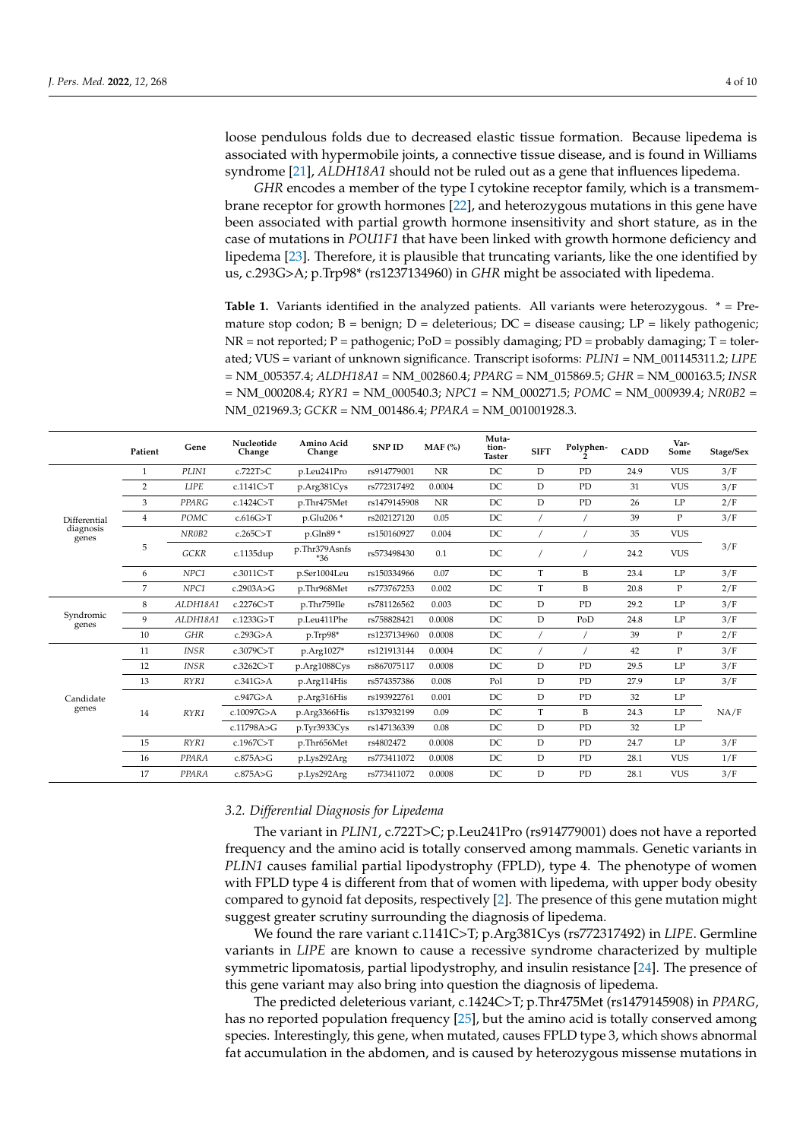loose pendulous folds due to decreased elastic tissue formation. Because lipedema is associated with hypermobile joints, a connective tissue disease, and is found in Williams syndrome [\[21\]](#page-7-20), *ALDH18A1* should not be ruled out as a gene that influences lipedema.

*GHR* encodes a member of the type I cytokine receptor family, which is a transmembrane receptor for growth hormones [\[22\]](#page-7-21), and heterozygous mutations in this gene have been associated with partial growth hormone insensitivity and short stature, as in the case of mutations in *POU1F1* that have been linked with growth hormone deficiency and lipedema [\[23\]](#page-7-22). Therefore, it is plausible that truncating variants, like the one identified by us, c.293G>A; p.Trp98\* (rs1237134960) in *GHR* might be associated with lipedema.

<span id="page-3-0"></span>**Table 1.** Variants identified in the analyzed patients. All variants were heterozygous.  $* = Pre$ mature stop codon;  $B = \text{benign}$ ;  $D = \text{deleterious}$ ;  $DC = \text{disease causing}$ ;  $LP = \text{likely pathogenic}$ ;  $NR = not reported; P = pathogenic; PoD = possibly damaging; PD = probably damaging; T = toler$ ated; VUS = variant of unknown significance. Transcript isoforms: *PLIN1* = NM\_001145311.2; *LIPE* = NM\_005357.4; *ALDH18A1* = NM\_002860.4; *PPARG* = NM\_015869.5; *GHR* = NM\_000163.5; *INSR* = NM\_000208.4; *RYR1* = NM\_000540.3; *NPC1* = NM\_000271.5; *POMC* = NM\_000939.4; *NR0B2* = NM\_021969.3; *GCKR* = NM\_001486.4; *PPARA* = NM\_001001928.3.

|                                    | Patient        | Gene        | Nucleotide<br>Change | Amino Acid<br>Change | <b>SNPID</b> | $MAF$ (%) | Muta-<br>tion-<br><b>Taster</b> | <b>SIFT</b> | Polyphen- | <b>CADD</b> | Var-<br>Some | Stage/Sex |
|------------------------------------|----------------|-------------|----------------------|----------------------|--------------|-----------|---------------------------------|-------------|-----------|-------------|--------------|-----------|
| Differential<br>diagnosis<br>genes | $\mathbf{1}$   | PLIN1       | c.722T>C             | p.Leu241Pro          | rs914779001  | NR        | DC                              | D           | PD        | 24.9        | <b>VUS</b>   | 3/F       |
|                                    | 2              | <b>LIPE</b> | c.1141C>T            | p.Arg381Cys          | rs772317492  | 0.0004    | DC                              | D           | PD        | 31          | <b>VUS</b>   | 3/F       |
|                                    | 3              | PPARG       | c.1424C>T            | p.Thr475Met          | rs1479145908 | <b>NR</b> | DC                              | D           | PD        | 26          | LP           | 2/F       |
|                                    | $\overline{4}$ | POMC        | c.616G > T           | p.Glu206 *           | rs202127120  | 0.05      | DC                              |             |           | 39          | $\mathbf P$  | 3/F       |
|                                    | 5              | NR0B2       | c.265C > T           | p.Gln89 *            | rs150160927  | 0.004     | DC                              |             |           | 35          | <b>VUS</b>   | 3/F       |
|                                    |                | GCKR        | c.1135dup            | p.Thr379Asnfs<br>*36 | rs573498430  | 0.1       | DC                              |             |           | 24.2        | <b>VUS</b>   |           |
|                                    | 6              | NPC1        | c.3011C>T            | p.Ser1004Leu         | rs150334966  | 0.07      | DC                              | T           | B         | 23.4        | LP           | 3/F       |
|                                    | 7              | NPC1        | c.2903A>G            | p.Thr968Met          | rs773767253  | 0.002     | DC                              | T           | B         | 20.8        | P            | 2/F       |
| Syndromic<br>genes                 | 8              | ALDH18A1    | c.2276C>T            | p.Thr759Ile          | rs781126562  | 0.003     | DC                              | D           | PD        | 29.2        | LP           | 3/F       |
|                                    | 9              | ALDH18A1    | c.1233G>T            | p.Leu411Phe          | rs758828421  | 0.0008    | DC                              | $\mathbf D$ | PoD       | 24.8        | LP           | 3/F       |
|                                    | 10             | <b>GHR</b>  | c.293G>A             | p.Trp98*             | rs1237134960 | 0.0008    | DC                              |             |           | 39          | $\mathbf P$  | 2/F       |
| Candidate<br>genes                 | 11             | <b>INSR</b> | c.3079C>T            | p.Arg1027*           | rs121913144  | 0.0004    | DC                              |             |           | 42          | P            | 3/F       |
|                                    | 12             | <b>INSR</b> | c.3262C>T            | p.Arg1088Cys         | rs867075117  | 0.0008    | DC                              | $\mathbb D$ | PD        | 29.5        | LP           | 3/F       |
|                                    | 13             | RYR1        | c.341G>A             | p.Arg114His          | rs574357386  | 0.008     | Pol                             | D           | PD        | 27.9        | LP           | 3/F       |
|                                    | 14             | RYR1        | c.947G>A             | p.Arg316His          | rs193922761  | 0.001     | DC                              | D           | PD        | 32          | LP           | NA/F      |
|                                    |                |             | c.10097G>A           | p.Arg3366His         | rs137932199  | 0.09      | DC                              | T           | B         | 24.3        | LP           |           |
|                                    |                |             | c.11798A>G           | p.Tyr3933Cys         | rs147136339  | 0.08      | DC                              | $\mathbf D$ | PD        | 32          | LP           |           |
|                                    | 15             | RYR1        | c.1967C>T            | p.Thr656Met          | rs4802472    | 0.0008    | DC                              | D           | PD        | 24.7        | LP           | 3/F       |
|                                    | 16             | PPARA       | c.875A>G             | p.Lys292Arg          | rs773411072  | 0.0008    | DC                              | D           | PD        | 28.1        | <b>VUS</b>   | 1/F       |
|                                    | 17             | PPARA       | c.875A>G             | p.Lys292Arg          | rs773411072  | 0.0008    | DC                              | D           | PD        | 28.1        | <b>VUS</b>   | 3/F       |

#### *3.2. Differential Diagnosis for Lipedema*

The variant in *PLIN1*, c.722T>C; p.Leu241Pro (rs914779001) does not have a reported frequency and the amino acid is totally conserved among mammals. Genetic variants in *PLIN1* causes familial partial lipodystrophy (FPLD), type 4. The phenotype of women with FPLD type 4 is different from that of women with lipedema, with upper body obesity compared to gynoid fat deposits, respectively [\[2\]](#page-7-11). The presence of this gene mutation might suggest greater scrutiny surrounding the diagnosis of lipedema.

We found the rare variant c.1141C>T; p.Arg381Cys (rs772317492) in *LIPE*. Germline variants in *LIPE* are known to cause a recessive syndrome characterized by multiple symmetric lipomatosis, partial lipodystrophy, and insulin resistance [\[24\]](#page-8-0). The presence of this gene variant may also bring into question the diagnosis of lipedema.

The predicted deleterious variant, c.1424C>T; p.Thr475Met (rs1479145908) in *PPARG*, has no reported population frequency [\[25\]](#page-8-1), but the amino acid is totally conserved among species. Interestingly, this gene, when mutated, causes FPLD type 3, which shows abnormal fat accumulation in the abdomen, and is caused by heterozygous missense mutations in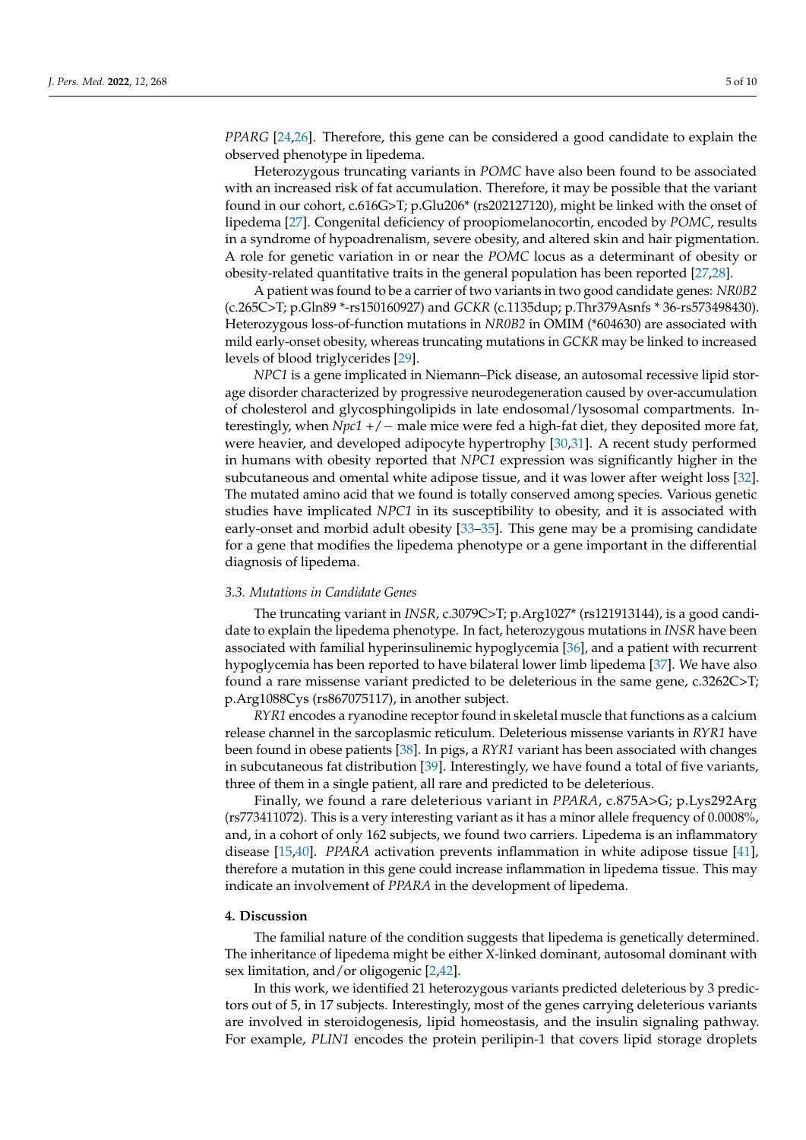*PPARG* [\[24,](#page-8-0)[26\]](#page-8-2). Therefore, this gene can be considered a good candidate to explain the observed phenotype in lipedema.

Heterozygous truncating variants in *POMC* have also been found to be associated with an increased risk of fat accumulation. Therefore, it may be possible that the variant found in our cohort, c.616G>T; p.Glu206\* (rs202127120), might be linked with the onset of lipedema [\[27\]](#page-8-3). Congenital deficiency of proopiomelanocortin, encoded by *POMC*, results in a syndrome of hypoadrenalism, severe obesity, and altered skin and hair pigmentation. A role for genetic variation in or near the *POMC* locus as a determinant of obesity or obesity-related quantitative traits in the general population has been reported [\[27,](#page-8-3)[28\]](#page-8-4).

A patient was found to be a carrier of two variants in two good candidate genes: *NR0B2* (c.265C>T; p.Gln89 \*-rs150160927) and *GCKR* (c.1135dup; p.Thr379Asnfs \* 36-rs573498430). Heterozygous loss-of-function mutations in *NR0B2* in OMIM (\*604630) are associated with mild early-onset obesity, whereas truncating mutations in *GCKR* may be linked to increased levels of blood triglycerides [\[29\]](#page-8-5).

*NPC1* is a gene implicated in Niemann–Pick disease, an autosomal recessive lipid storage disorder characterized by progressive neurodegeneration caused by over-accumulation of cholesterol and glycosphingolipids in late endosomal/lysosomal compartments. Interestingly, when *Npc1* +/− male mice were fed a high-fat diet, they deposited more fat, were heavier, and developed adipocyte hypertrophy [\[30](#page-8-6)[,31\]](#page-8-7). A recent study performed in humans with obesity reported that *NPC1* expression was significantly higher in the subcutaneous and omental white adipose tissue, and it was lower after weight loss [\[32\]](#page-8-8). The mutated amino acid that we found is totally conserved among species. Various genetic studies have implicated *NPC1* in its susceptibility to obesity, and it is associated with early-onset and morbid adult obesity [\[33](#page-8-9)[–35\]](#page-8-10). This gene may be a promising candidate for a gene that modifies the lipedema phenotype or a gene important in the differential diagnosis of lipedema.

#### *3.3. Mutations in Candidate Genes*

The truncating variant in *INSR*, c.3079C>T; p.Arg1027\* (rs121913144), is a good candidate to explain the lipedema phenotype. In fact, heterozygous mutations in *INSR* have been associated with familial hyperinsulinemic hypoglycemia [\[36\]](#page-8-11), and a patient with recurrent hypoglycemia has been reported to have bilateral lower limb lipedema [\[37\]](#page-8-12). We have also found a rare missense variant predicted to be deleterious in the same gene, c.3262C>T; p.Arg1088Cys (rs867075117), in another subject.

*RYR1* encodes a ryanodine receptor found in skeletal muscle that functions as a calcium release channel in the sarcoplasmic reticulum. Deleterious missense variants in *RYR1* have been found in obese patients [\[38\]](#page-8-13). In pigs, a *RYR1* variant has been associated with changes in subcutaneous fat distribution [\[39\]](#page-8-14). Interestingly, we have found a total of five variants, three of them in a single patient, all rare and predicted to be deleterious.

Finally, we found a rare deleterious variant in *PPARA*, c.875A>G; p.Lys292Arg (rs773411072). This is a very interesting variant as it has a minor allele frequency of 0.0008%, and, in a cohort of only 162 subjects, we found two carriers. Lipedema is an inflammatory disease [\[15](#page-7-14)[,40\]](#page-8-15). *PPARA* activation prevents inflammation in white adipose tissue [\[41\]](#page-8-16), therefore a mutation in this gene could increase inflammation in lipedema tissue. This may indicate an involvement of *PPARA* in the development of lipedema.

# **4. Discussion**

The familial nature of the condition suggests that lipedema is genetically determined. The inheritance of lipedema might be either X-linked dominant, autosomal dominant with sex limitation, and/or oligogenic [\[2](#page-7-11)[,42\]](#page-8-17).

In this work, we identified 21 heterozygous variants predicted deleterious by 3 predictors out of 5, in 17 subjects. Interestingly, most of the genes carrying deleterious variants are involved in steroidogenesis, lipid homeostasis, and the insulin signaling pathway. For example, *PLIN1* encodes the protein perilipin-1 that covers lipid storage droplets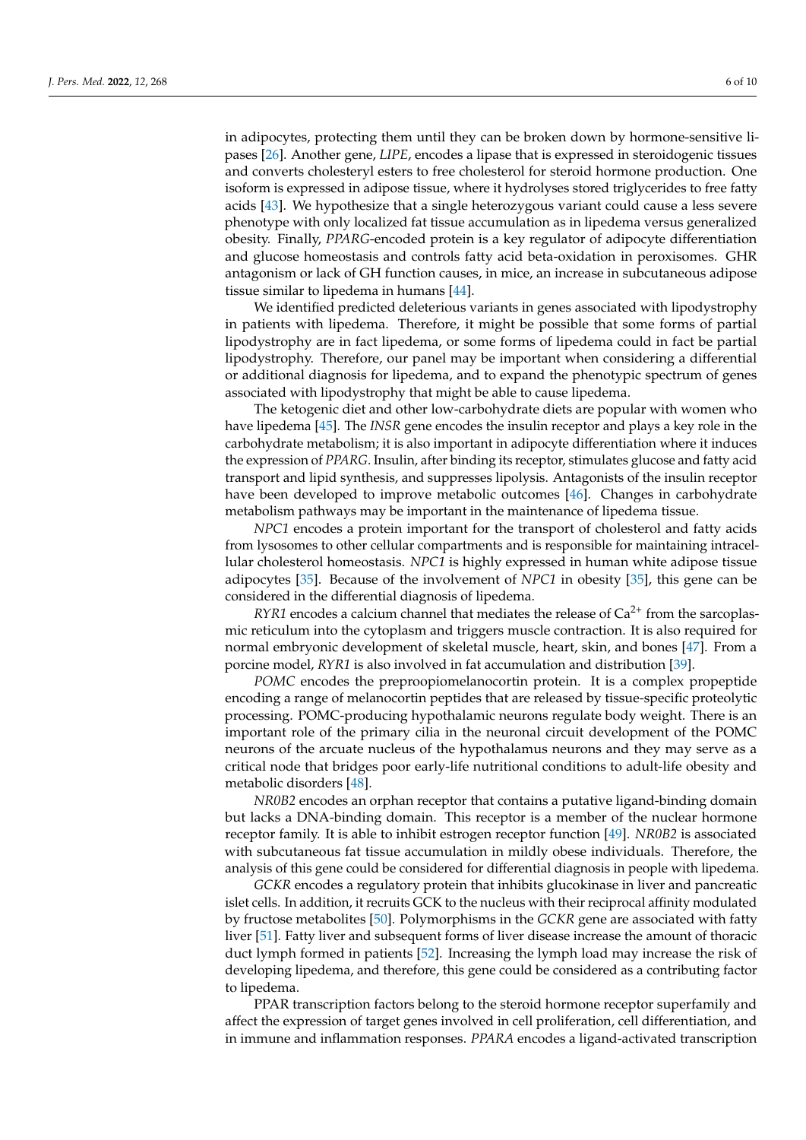in adipocytes, protecting them until they can be broken down by hormone-sensitive lipases [\[26\]](#page-8-2). Another gene, *LIPE*, encodes a lipase that is expressed in steroidogenic tissues and converts cholesteryl esters to free cholesterol for steroid hormone production. One isoform is expressed in adipose tissue, where it hydrolyses stored triglycerides to free fatty acids [\[43\]](#page-8-18). We hypothesize that a single heterozygous variant could cause a less severe phenotype with only localized fat tissue accumulation as in lipedema versus generalized obesity. Finally, *PPARG*-encoded protein is a key regulator of adipocyte differentiation and glucose homeostasis and controls fatty acid beta-oxidation in peroxisomes. GHR antagonism or lack of GH function causes, in mice, an increase in subcutaneous adipose tissue similar to lipedema in humans [\[44\]](#page-8-19).

We identified predicted deleterious variants in genes associated with lipodystrophy in patients with lipedema. Therefore, it might be possible that some forms of partial lipodystrophy are in fact lipedema, or some forms of lipedema could in fact be partial lipodystrophy. Therefore, our panel may be important when considering a differential or additional diagnosis for lipedema, and to expand the phenotypic spectrum of genes associated with lipodystrophy that might be able to cause lipedema.

The ketogenic diet and other low-carbohydrate diets are popular with women who have lipedema [\[45\]](#page-8-20). The *INSR* gene encodes the insulin receptor and plays a key role in the carbohydrate metabolism; it is also important in adipocyte differentiation where it induces the expression of *PPARG*. Insulin, after binding its receptor, stimulates glucose and fatty acid transport and lipid synthesis, and suppresses lipolysis. Antagonists of the insulin receptor have been developed to improve metabolic outcomes [\[46\]](#page-8-21). Changes in carbohydrate metabolism pathways may be important in the maintenance of lipedema tissue.

*NPC1* encodes a protein important for the transport of cholesterol and fatty acids from lysosomes to other cellular compartments and is responsible for maintaining intracellular cholesterol homeostasis. *NPC1* is highly expressed in human white adipose tissue adipocytes [\[35\]](#page-8-10). Because of the involvement of *NPC1* in obesity [\[35\]](#page-8-10), this gene can be considered in the differential diagnosis of lipedema.

*RYR1* encodes a calcium channel that mediates the release of  $Ca<sup>2+</sup>$  from the sarcoplasmic reticulum into the cytoplasm and triggers muscle contraction. It is also required for normal embryonic development of skeletal muscle, heart, skin, and bones [\[47\]](#page-8-22). From a porcine model, *RYR1* is also involved in fat accumulation and distribution [\[39\]](#page-8-14).

*POMC* encodes the preproopiomelanocortin protein. It is a complex propeptide encoding a range of melanocortin peptides that are released by tissue-specific proteolytic processing. POMC-producing hypothalamic neurons regulate body weight. There is an important role of the primary cilia in the neuronal circuit development of the POMC neurons of the arcuate nucleus of the hypothalamus neurons and they may serve as a critical node that bridges poor early-life nutritional conditions to adult-life obesity and metabolic disorders [\[48\]](#page-8-23).

*NR0B2* encodes an orphan receptor that contains a putative ligand-binding domain but lacks a DNA-binding domain. This receptor is a member of the nuclear hormone receptor family. It is able to inhibit estrogen receptor function [\[49\]](#page-8-24). *NR0B2* is associated with subcutaneous fat tissue accumulation in mildly obese individuals. Therefore, the analysis of this gene could be considered for differential diagnosis in people with lipedema.

*GCKR* encodes a regulatory protein that inhibits glucokinase in liver and pancreatic islet cells. In addition, it recruits GCK to the nucleus with their reciprocal affinity modulated by fructose metabolites [\[50\]](#page-8-25). Polymorphisms in the *GCKR* gene are associated with fatty liver [\[51\]](#page-8-26). Fatty liver and subsequent forms of liver disease increase the amount of thoracic duct lymph formed in patients [\[52\]](#page-9-0). Increasing the lymph load may increase the risk of developing lipedema, and therefore, this gene could be considered as a contributing factor to lipedema.

PPAR transcription factors belong to the steroid hormone receptor superfamily and affect the expression of target genes involved in cell proliferation, cell differentiation, and in immune and inflammation responses. *PPARA* encodes a ligand-activated transcription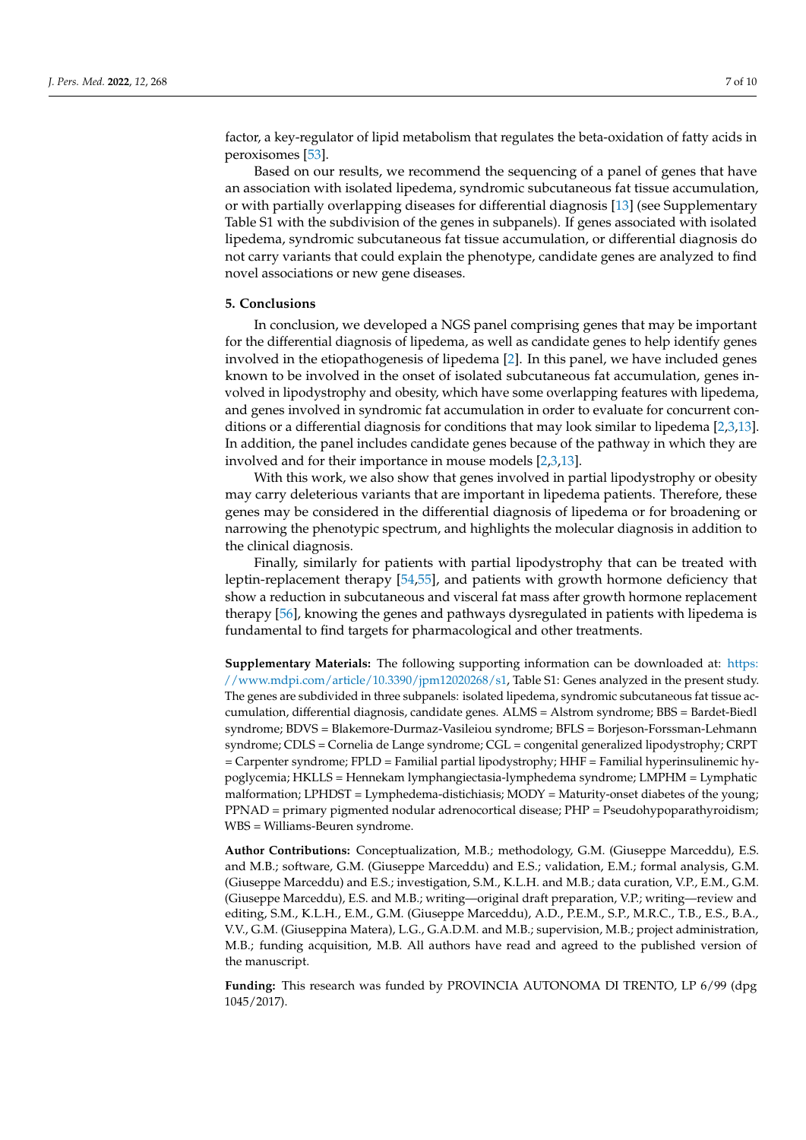factor, a key-regulator of lipid metabolism that regulates the beta-oxidation of fatty acids in peroxisomes [\[53\]](#page-9-1).

Based on our results, we recommend the sequencing of a panel of genes that have an association with isolated lipedema, syndromic subcutaneous fat tissue accumulation, or with partially overlapping diseases for differential diagnosis [\[13\]](#page-7-12) (see Supplementary Table S1 with the subdivision of the genes in subpanels). If genes associated with isolated lipedema, syndromic subcutaneous fat tissue accumulation, or differential diagnosis do not carry variants that could explain the phenotype, candidate genes are analyzed to find novel associations or new gene diseases.

# **5. Conclusions**

In conclusion, we developed a NGS panel comprising genes that may be important for the differential diagnosis of lipedema, as well as candidate genes to help identify genes involved in the etiopathogenesis of lipedema [\[2\]](#page-7-11). In this panel, we have included genes known to be involved in the onset of isolated subcutaneous fat accumulation, genes involved in lipodystrophy and obesity, which have some overlapping features with lipedema, and genes involved in syndromic fat accumulation in order to evaluate for concurrent conditions or a differential diagnosis for conditions that may look similar to lipedema [\[2](#page-7-11)[,3](#page-7-1)[,13\]](#page-7-12). In addition, the panel includes candidate genes because of the pathway in which they are involved and for their importance in mouse models [\[2](#page-7-11)[,3](#page-7-1)[,13\]](#page-7-12).

With this work, we also show that genes involved in partial lipodystrophy or obesity may carry deleterious variants that are important in lipedema patients. Therefore, these genes may be considered in the differential diagnosis of lipedema or for broadening or narrowing the phenotypic spectrum, and highlights the molecular diagnosis in addition to the clinical diagnosis.

Finally, similarly for patients with partial lipodystrophy that can be treated with leptin-replacement therapy [\[54](#page-9-2)[,55\]](#page-9-3), and patients with growth hormone deficiency that show a reduction in subcutaneous and visceral fat mass after growth hormone replacement therapy [\[56\]](#page-9-4), knowing the genes and pathways dysregulated in patients with lipedema is fundamental to find targets for pharmacological and other treatments.

**Supplementary Materials:** The following supporting information can be downloaded at: [https:](https://www.mdpi.com/article/10.3390/jpm12020268/s1) [//www.mdpi.com/article/10.3390/jpm12020268/s1,](https://www.mdpi.com/article/10.3390/jpm12020268/s1) Table S1: Genes analyzed in the present study. The genes are subdivided in three subpanels: isolated lipedema, syndromic subcutaneous fat tissue accumulation, differential diagnosis, candidate genes. ALMS = Alstrom syndrome; BBS = Bardet-Biedl syndrome; BDVS = Blakemore-Durmaz-Vasileiou syndrome; BFLS = Borjeson-Forssman-Lehmann syndrome; CDLS = Cornelia de Lange syndrome; CGL = congenital generalized lipodystrophy; CRPT = Carpenter syndrome; FPLD = Familial partial lipodystrophy; HHF = Familial hyperinsulinemic hypoglycemia; HKLLS = Hennekam lymphangiectasia-lymphedema syndrome; LMPHM = Lymphatic malformation; LPHDST = Lymphedema-distichiasis; MODY = Maturity-onset diabetes of the young; PPNAD = primary pigmented nodular adrenocortical disease; PHP = Pseudohypoparathyroidism; WBS = Williams-Beuren syndrome.

**Author Contributions:** Conceptualization, M.B.; methodology, G.M. (Giuseppe Marceddu), E.S. and M.B.; software, G.M. (Giuseppe Marceddu) and E.S.; validation, E.M.; formal analysis, G.M. (Giuseppe Marceddu) and E.S.; investigation, S.M., K.L.H. and M.B.; data curation, V.P., E.M., G.M. (Giuseppe Marceddu), E.S. and M.B.; writing—original draft preparation, V.P.; writing—review and editing, S.M., K.L.H., E.M., G.M. (Giuseppe Marceddu), A.D., P.E.M., S.P., M.R.C., T.B., E.S., B.A., V.V., G.M. (Giuseppina Matera), L.G., G.A.D.M. and M.B.; supervision, M.B.; project administration, M.B.; funding acquisition, M.B. All authors have read and agreed to the published version of the manuscript.

**Funding:** This research was funded by PROVINCIA AUTONOMA DI TRENTO, LP 6/99 (dpg 1045/2017).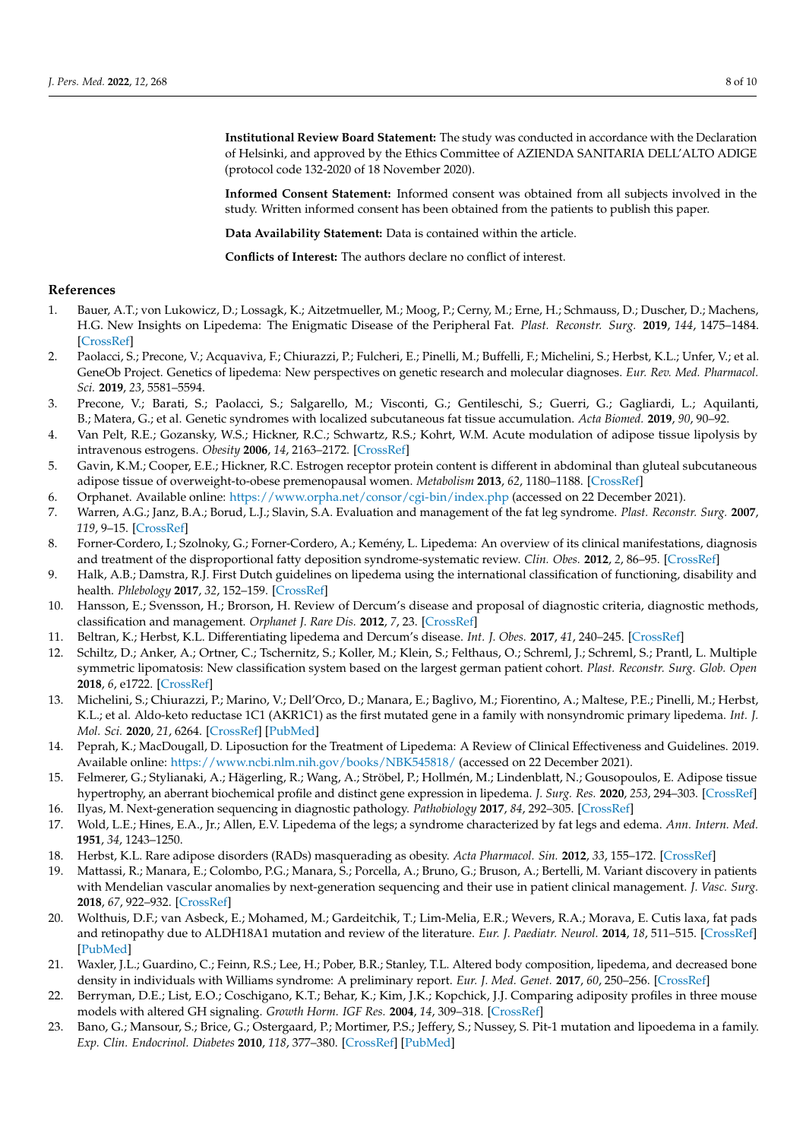**Institutional Review Board Statement:** The study was conducted in accordance with the Declaration of Helsinki, and approved by the Ethics Committee of AZIENDA SANITARIA DELL'ALTO ADIGE (protocol code 132-2020 of 18 November 2020).

**Informed Consent Statement:** Informed consent was obtained from all subjects involved in the study. Written informed consent has been obtained from the patients to publish this paper.

**Data Availability Statement:** Data is contained within the article.

**Conflicts of Interest:** The authors declare no conflict of interest.

# **References**

- <span id="page-7-0"></span>1. Bauer, A.T.; von Lukowicz, D.; Lossagk, K.; Aitzetmueller, M.; Moog, P.; Cerny, M.; Erne, H.; Schmauss, D.; Duscher, D.; Machens, H.G. New Insights on Lipedema: The Enigmatic Disease of the Peripheral Fat. *Plast. Reconstr. Surg.* **2019**, *144*, 1475–1484. [\[CrossRef\]](http://doi.org/10.1097/PRS.0000000000006280)
- <span id="page-7-11"></span>2. Paolacci, S.; Precone, V.; Acquaviva, F.; Chiurazzi, P.; Fulcheri, E.; Pinelli, M.; Buffelli, F.; Michelini, S.; Herbst, K.L.; Unfer, V.; et al. GeneOb Project. Genetics of lipedema: New perspectives on genetic research and molecular diagnoses. *Eur. Rev. Med. Pharmacol. Sci.* **2019**, *23*, 5581–5594.
- <span id="page-7-1"></span>3. Precone, V.; Barati, S.; Paolacci, S.; Salgarello, M.; Visconti, G.; Gentileschi, S.; Guerri, G.; Gagliardi, L.; Aquilanti, B.; Matera, G.; et al. Genetic syndromes with localized subcutaneous fat tissue accumulation. *Acta Biomed.* **2019**, *90*, 90–92.
- <span id="page-7-2"></span>4. Van Pelt, R.E.; Gozansky, W.S.; Hickner, R.C.; Schwartz, R.S.; Kohrt, W.M. Acute modulation of adipose tissue lipolysis by intravenous estrogens. *Obesity* **2006**, *14*, 2163–2172. [\[CrossRef\]](http://doi.org/10.1038/oby.2006.253)
- <span id="page-7-3"></span>5. Gavin, K.M.; Cooper, E.E.; Hickner, R.C. Estrogen receptor protein content is different in abdominal than gluteal subcutaneous adipose tissue of overweight-to-obese premenopausal women. *Metabolism* **2013**, *62*, 1180–1188. [\[CrossRef\]](http://doi.org/10.1016/j.metabol.2013.02.010)
- <span id="page-7-4"></span>6. Orphanet. Available online: <https://www.orpha.net/consor/cgi-bin/index.php> (accessed on 22 December 2021).
- <span id="page-7-5"></span>7. Warren, A.G.; Janz, B.A.; Borud, L.J.; Slavin, S.A. Evaluation and management of the fat leg syndrome. *Plast. Reconstr. Surg.* **2007**, *119*, 9–15. [\[CrossRef\]](http://doi.org/10.1097/01.prs.0000244909.82805.dc)
- <span id="page-7-6"></span>8. Forner-Cordero, I.; Szolnoky, G.; Forner-Cordero, A.; Kemény, L. Lipedema: An overview of its clinical manifestations, diagnosis and treatment of the disproportional fatty deposition syndrome-systematic review. *Clin. Obes.* **2012**, *2*, 86–95. [\[CrossRef\]](http://doi.org/10.1111/j.1758-8111.2012.00045.x)
- <span id="page-7-7"></span>9. Halk, A.B.; Damstra, R.J. First Dutch guidelines on lipedema using the international classification of functioning, disability and health. *Phlebology* **2017**, *32*, 152–159. [\[CrossRef\]](http://doi.org/10.1177/0268355516639421)
- <span id="page-7-8"></span>10. Hansson, E.; Svensson, H.; Brorson, H. Review of Dercum's disease and proposal of diagnostic criteria, diagnostic methods, classification and management. *Orphanet J. Rare Dis.* **2012**, *7*, 23. [\[CrossRef\]](http://doi.org/10.1186/1750-1172-7-23)
- <span id="page-7-9"></span>11. Beltran, K.; Herbst, K.L. Differentiating lipedema and Dercum's disease. *Int. J. Obes.* **2017**, *41*, 240–245. [\[CrossRef\]](http://doi.org/10.1038/ijo.2016.205)
- <span id="page-7-10"></span>12. Schiltz, D.; Anker, A.; Ortner, C.; Tschernitz, S.; Koller, M.; Klein, S.; Felthaus, O.; Schreml, J.; Schreml, S.; Prantl, L. Multiple symmetric lipomatosis: New classification system based on the largest german patient cohort. *Plast. Reconstr. Surg. Glob. Open* **2018**, *6*, e1722. [\[CrossRef\]](http://doi.org/10.1097/GOX.0000000000001722)
- <span id="page-7-12"></span>13. Michelini, S.; Chiurazzi, P.; Marino, V.; Dell'Orco, D.; Manara, E.; Baglivo, M.; Fiorentino, A.; Maltese, P.E.; Pinelli, M.; Herbst, K.L.; et al. Aldo-keto reductase 1C1 (AKR1C1) as the first mutated gene in a family with nonsyndromic primary lipedema. *Int. J. Mol. Sci.* **2020**, *21*, 6264. [\[CrossRef\]](http://doi.org/10.3390/ijms21176264) [\[PubMed\]](http://www.ncbi.nlm.nih.gov/pubmed/32872468)
- <span id="page-7-13"></span>14. Peprah, K.; MacDougall, D. Liposuction for the Treatment of Lipedema: A Review of Clinical Effectiveness and Guidelines. 2019. Available online: <https://www.ncbi.nlm.nih.gov/books/NBK545818/> (accessed on 22 December 2021).
- <span id="page-7-14"></span>15. Felmerer, G.; Stylianaki, A.; Hägerling, R.; Wang, A.; Ströbel, P.; Hollmén, M.; Lindenblatt, N.; Gousopoulos, E. Adipose tissue hypertrophy, an aberrant biochemical profile and distinct gene expression in lipedema. *J. Surg. Res.* **2020**, *253*, 294–303. [\[CrossRef\]](http://doi.org/10.1016/j.jss.2020.03.055)
- <span id="page-7-15"></span>16. Ilyas, M. Next-generation sequencing in diagnostic pathology. *Pathobiology* **2017**, *84*, 292–305. [\[CrossRef\]](http://doi.org/10.1159/000480089)
- <span id="page-7-16"></span>17. Wold, L.E.; Hines, E.A., Jr.; Allen, E.V. Lipedema of the legs; a syndrome characterized by fat legs and edema. *Ann. Intern. Med.* **1951**, *34*, 1243–1250.
- <span id="page-7-17"></span>18. Herbst, K.L. Rare adipose disorders (RADs) masquerading as obesity. *Acta Pharmacol. Sin.* **2012**, *33*, 155–172. [\[CrossRef\]](http://doi.org/10.1038/aps.2011.153)
- <span id="page-7-18"></span>19. Mattassi, R.; Manara, E.; Colombo, P.G.; Manara, S.; Porcella, A.; Bruno, G.; Bruson, A.; Bertelli, M. Variant discovery in patients with Mendelian vascular anomalies by next-generation sequencing and their use in patient clinical management. *J. Vasc. Surg.* **2018**, *67*, 922–932. [\[CrossRef\]](http://doi.org/10.1016/j.jvs.2017.02.034)
- <span id="page-7-19"></span>20. Wolthuis, D.F.; van Asbeck, E.; Mohamed, M.; Gardeitchik, T.; Lim-Melia, E.R.; Wevers, R.A.; Morava, E. Cutis laxa, fat pads and retinopathy due to ALDH18A1 mutation and review of the literature. *Eur. J. Paediatr. Neurol.* **2014**, *18*, 511–515. [\[CrossRef\]](http://doi.org/10.1016/j.ejpn.2014.01.003) [\[PubMed\]](http://www.ncbi.nlm.nih.gov/pubmed/24767728)
- <span id="page-7-20"></span>21. Waxler, J.L.; Guardino, C.; Feinn, R.S.; Lee, H.; Pober, B.R.; Stanley, T.L. Altered body composition, lipedema, and decreased bone density in individuals with Williams syndrome: A preliminary report. *Eur. J. Med. Genet.* **2017**, *60*, 250–256. [\[CrossRef\]](http://doi.org/10.1016/j.ejmg.2017.02.007)
- <span id="page-7-21"></span>22. Berryman, D.E.; List, E.O.; Coschigano, K.T.; Behar, K.; Kim, J.K.; Kopchick, J.J. Comparing adiposity profiles in three mouse models with altered GH signaling. *Growth Horm. IGF Res.* **2004**, *14*, 309–318. [\[CrossRef\]](http://doi.org/10.1016/j.ghir.2004.02.005)
- <span id="page-7-22"></span>23. Bano, G.; Mansour, S.; Brice, G.; Ostergaard, P.; Mortimer, P.S.; Jeffery, S.; Nussey, S. Pit-1 mutation and lipoedema in a family. *Exp. Clin. Endocrinol. Diabetes* **2010**, *118*, 377–380. [\[CrossRef\]](http://doi.org/10.1055/s-0029-1224154) [\[PubMed\]](http://www.ncbi.nlm.nih.gov/pubmed/19609847)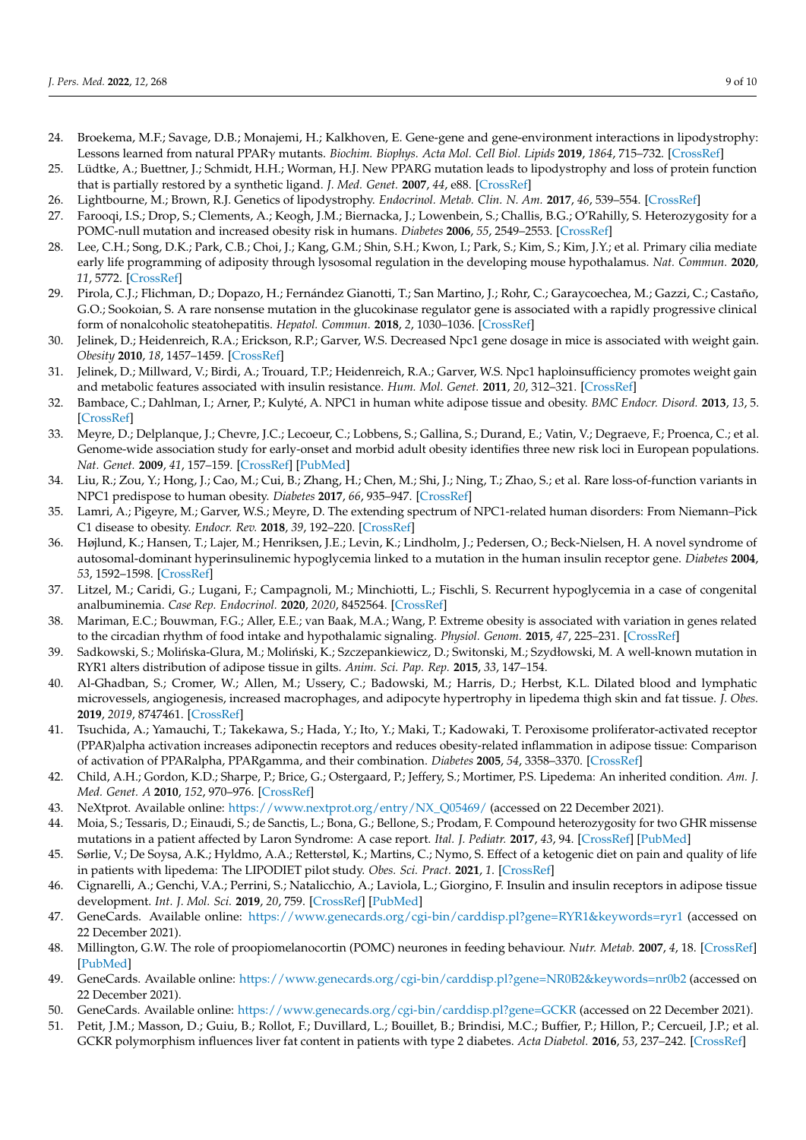- <span id="page-8-0"></span>24. Broekema, M.F.; Savage, D.B.; Monajemi, H.; Kalkhoven, E. Gene-gene and gene-environment interactions in lipodystrophy: Lessons learned from natural PPARγ mutants. *Biochim. Biophys. Acta Mol. Cell Biol. Lipids* **2019**, *1864*, 715–732. [\[CrossRef\]](http://doi.org/10.1016/j.bbalip.2019.02.002)
- <span id="page-8-1"></span>25. Lüdtke, A.; Buettner, J.; Schmidt, H.H.; Worman, H.J. New PPARG mutation leads to lipodystrophy and loss of protein function that is partially restored by a synthetic ligand. *J. Med. Genet.* **2007**, *44*, e88. [\[CrossRef\]](http://doi.org/10.1136/jmg.2007.050567)
- <span id="page-8-2"></span>26. Lightbourne, M.; Brown, R.J. Genetics of lipodystrophy. *Endocrinol. Metab. Clin. N. Am.* **2017**, *46*, 539–554. [\[CrossRef\]](http://doi.org/10.1016/j.ecl.2017.01.012)
- <span id="page-8-3"></span>27. Farooqi, I.S.; Drop, S.; Clements, A.; Keogh, J.M.; Biernacka, J.; Lowenbein, S.; Challis, B.G.; O'Rahilly, S. Heterozygosity for a POMC-null mutation and increased obesity risk in humans. *Diabetes* **2006**, *55*, 2549–2553. [\[CrossRef\]](http://doi.org/10.2337/db06-0214)
- <span id="page-8-4"></span>28. Lee, C.H.; Song, D.K.; Park, C.B.; Choi, J.; Kang, G.M.; Shin, S.H.; Kwon, I.; Park, S.; Kim, S.; Kim, J.Y.; et al. Primary cilia mediate early life programming of adiposity through lysosomal regulation in the developing mouse hypothalamus. *Nat. Commun.* **2020**, *11*, 5772. [\[CrossRef\]](http://doi.org/10.1038/s41467-020-19638-4)
- <span id="page-8-5"></span>29. Pirola, C.J.; Flichman, D.; Dopazo, H.; Fernández Gianotti, T.; San Martino, J.; Rohr, C.; Garaycoechea, M.; Gazzi, C.; Castaño, G.O.; Sookoian, S. A rare nonsense mutation in the glucokinase regulator gene is associated with a rapidly progressive clinical form of nonalcoholic steatohepatitis. *Hepatol. Commun.* **2018**, *2*, 1030–1036. [\[CrossRef\]](http://doi.org/10.1002/hep4.1235)
- <span id="page-8-6"></span>30. Jelinek, D.; Heidenreich, R.A.; Erickson, R.P.; Garver, W.S. Decreased Npc1 gene dosage in mice is associated with weight gain. *Obesity* **2010**, *18*, 1457–1459. [\[CrossRef\]](http://doi.org/10.1038/oby.2009.415)
- <span id="page-8-7"></span>31. Jelinek, D.; Millward, V.; Birdi, A.; Trouard, T.P.; Heidenreich, R.A.; Garver, W.S. Npc1 haploinsufficiency promotes weight gain and metabolic features associated with insulin resistance. *Hum. Mol. Genet.* **2011**, *20*, 312–321. [\[CrossRef\]](http://doi.org/10.1093/hmg/ddq466)
- <span id="page-8-8"></span>32. Bambace, C.; Dahlman, I.; Arner, P.; Kulyté, A. NPC1 in human white adipose tissue and obesity. *BMC Endocr. Disord.* **2013**, *13*, 5. [\[CrossRef\]](http://doi.org/10.1186/1472-6823-13-5)
- <span id="page-8-9"></span>33. Meyre, D.; Delplanque, J.; Chevre, J.C.; Lecoeur, C.; Lobbens, S.; Gallina, S.; Durand, E.; Vatin, V.; Degraeve, F.; Proenca, C.; et al. Genome-wide association study for early-onset and morbid adult obesity identifies three new risk loci in European populations. *Nat. Genet.* **2009**, *41*, 157–159. [\[CrossRef\]](http://doi.org/10.1038/ng.301) [\[PubMed\]](http://www.ncbi.nlm.nih.gov/pubmed/19151714)
- 34. Liu, R.; Zou, Y.; Hong, J.; Cao, M.; Cui, B.; Zhang, H.; Chen, M.; Shi, J.; Ning, T.; Zhao, S.; et al. Rare loss-of-function variants in NPC1 predispose to human obesity. *Diabetes* **2017**, *66*, 935–947. [\[CrossRef\]](http://doi.org/10.2337/db16-0877)
- <span id="page-8-10"></span>35. Lamri, A.; Pigeyre, M.; Garver, W.S.; Meyre, D. The extending spectrum of NPC1-related human disorders: From Niemann–Pick C1 disease to obesity. *Endocr. Rev.* **2018**, *39*, 192–220. [\[CrossRef\]](http://doi.org/10.1210/er.2017-00176)
- <span id="page-8-11"></span>36. Højlund, K.; Hansen, T.; Lajer, M.; Henriksen, J.E.; Levin, K.; Lindholm, J.; Pedersen, O.; Beck-Nielsen, H. A novel syndrome of autosomal-dominant hyperinsulinemic hypoglycemia linked to a mutation in the human insulin receptor gene. *Diabetes* **2004**, *53*, 1592–1598. [\[CrossRef\]](http://doi.org/10.2337/diabetes.53.6.1592)
- <span id="page-8-12"></span>37. Litzel, M.; Caridi, G.; Lugani, F.; Campagnoli, M.; Minchiotti, L.; Fischli, S. Recurrent hypoglycemia in a case of congenital analbuminemia. *Case Rep. Endocrinol.* **2020**, *2020*, 8452564. [\[CrossRef\]](http://doi.org/10.1155/2020/8452564)
- <span id="page-8-13"></span>38. Mariman, E.C.; Bouwman, F.G.; Aller, E.E.; van Baak, M.A.; Wang, P. Extreme obesity is associated with variation in genes related to the circadian rhythm of food intake and hypothalamic signaling. *Physiol. Genom.* **2015**, *47*, 225–231. [\[CrossRef\]](http://doi.org/10.1152/physiolgenomics.00006.2015)
- <span id="page-8-14"></span>39. Sadkowski, S.; Molińska-Glura, M.; Moliński, K.; Szczepankiewicz, D.; Switonski, M.; Szydłowski, M. A well-known mutation in RYR1 alters distribution of adipose tissue in gilts. *Anim. Sci. Pap. Rep.* **2015**, *33*, 147–154.
- <span id="page-8-15"></span>40. Al-Ghadban, S.; Cromer, W.; Allen, M.; Ussery, C.; Badowski, M.; Harris, D.; Herbst, K.L. Dilated blood and lymphatic microvessels, angiogenesis, increased macrophages, and adipocyte hypertrophy in lipedema thigh skin and fat tissue. *J. Obes.* **2019**, *2019*, 8747461. [\[CrossRef\]](http://doi.org/10.1155/2019/8747461)
- <span id="page-8-16"></span>41. Tsuchida, A.; Yamauchi, T.; Takekawa, S.; Hada, Y.; Ito, Y.; Maki, T.; Kadowaki, T. Peroxisome proliferator-activated receptor (PPAR)alpha activation increases adiponectin receptors and reduces obesity-related inflammation in adipose tissue: Comparison of activation of PPARalpha, PPARgamma, and their combination. *Diabetes* **2005**, *54*, 3358–3370. [\[CrossRef\]](http://doi.org/10.2337/diabetes.54.12.3358)
- <span id="page-8-17"></span>42. Child, A.H.; Gordon, K.D.; Sharpe, P.; Brice, G.; Ostergaard, P.; Jeffery, S.; Mortimer, P.S. Lipedema: An inherited condition. *Am. J. Med. Genet. A* **2010**, *152*, 970–976. [\[CrossRef\]](http://doi.org/10.1002/ajmg.a.33313)
- <span id="page-8-18"></span>43. NeXtprot. Available online: [https://www.nextprot.org/entry/NX\\_Q05469/](https://www.nextprot.org/entry/NX_Q05469/) (accessed on 22 December 2021).
- <span id="page-8-19"></span>44. Moia, S.; Tessaris, D.; Einaudi, S.; de Sanctis, L.; Bona, G.; Bellone, S.; Prodam, F. Compound heterozygosity for two GHR missense mutations in a patient affected by Laron Syndrome: A case report. *Ital. J. Pediatr.* **2017**, *43*, 94. [\[CrossRef\]](http://doi.org/10.1186/s13052-017-0411-7) [\[PubMed\]](http://www.ncbi.nlm.nih.gov/pubmed/29025428)
- <span id="page-8-20"></span>45. Sørlie, V.; De Soysa, A.K.; Hyldmo, A.A.; Retterstøl, K.; Martins, C.; Nymo, S. Effect of a ketogenic diet on pain and quality of life in patients with lipedema: The LIPODIET pilot study. *Obes. Sci. Pract.* **2021**, *1*. [\[CrossRef\]](http://doi.org/10.1002/osp4.580)
- <span id="page-8-21"></span>46. Cignarelli, A.; Genchi, V.A.; Perrini, S.; Natalicchio, A.; Laviola, L.; Giorgino, F. Insulin and insulin receptors in adipose tissue development. *Int. J. Mol. Sci.* **2019**, *20*, 759. [\[CrossRef\]](http://doi.org/10.3390/ijms20030759) [\[PubMed\]](http://www.ncbi.nlm.nih.gov/pubmed/30754657)
- <span id="page-8-22"></span>47. GeneCards. Available online: <https://www.genecards.org/cgi-bin/carddisp.pl?gene=RYR1&keywords=ryr1> (accessed on 22 December 2021).
- <span id="page-8-23"></span>48. Millington, G.W. The role of proopiomelanocortin (POMC) neurones in feeding behaviour. *Nutr. Metab.* **2007**, *4*, 18. [\[CrossRef\]](http://doi.org/10.1186/1743-7075-4-18) [\[PubMed\]](http://www.ncbi.nlm.nih.gov/pubmed/17764572)
- <span id="page-8-24"></span>49. GeneCards. Available online: <https://www.genecards.org/cgi-bin/carddisp.pl?gene=NR0B2&keywords=nr0b2> (accessed on 22 December 2021).
- <span id="page-8-25"></span>50. GeneCards. Available online: <https://www.genecards.org/cgi-bin/carddisp.pl?gene=GCKR> (accessed on 22 December 2021).
- <span id="page-8-26"></span>51. Petit, J.M.; Masson, D.; Guiu, B.; Rollot, F.; Duvillard, L.; Bouillet, B.; Brindisi, M.C.; Buffier, P.; Hillon, P.; Cercueil, J.P.; et al. GCKR polymorphism influences liver fat content in patients with type 2 diabetes. *Acta Diabetol.* **2016**, *53*, 237–242. [\[CrossRef\]](http://doi.org/10.1007/s00592-015-0766-4)